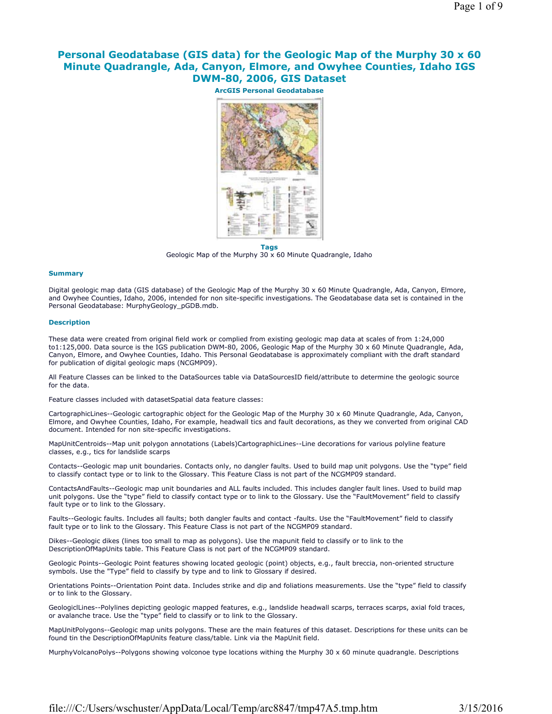# **Personal Geodatabase (GIS data) for the Geologic Map of the Murphy 30 x 60 Minute Quadrangle, Ada, Canyon, Elmore, and Owyhee Counties, Idaho IGS DWM-80, 2006, GIS Dataset**

**ArcGIS Personal Geodatabase Tags**

Geologic Map of the Murphy 30 x 60 Minute Quadrangle, Idaho

#### **Summary**

Digital geologic map data (GIS database) of the Geologic Map of the Murphy 30 x 60 Minute Quadrangle, Ada, Canyon, Elmore, and Owyhee Counties, Idaho, 2006, intended for non site-specific investigations. The Geodatabase data set is contained in the Personal Geodatabase: MurphyGeology\_pGDB.mdb.

#### **Description**

These data were created from original field work or complied from existing geologic map data at scales of from 1:24,000 to1:125,000. Data source is the IGS publication DWM-80, 2006, Geologic Map of the Murphy 30 x 60 Minute Quadrangle, Ada, Canyon, Elmore, and Owyhee Counties, Idaho. This Personal Geodatabase is approximately compliant with the draft standard for publication of digital geologic maps (NCGMP09).

All Feature Classes can be linked to the DataSources table via DataSourcesID field/attribute to determine the geologic source for the data.

Feature classes included with datasetSpatial data feature classes:

CartographicLines--Geologic cartographic object for the Geologic Map of the Murphy 30 x 60 Minute Quadrangle, Ada, Canyon, Elmore, and Owyhee Counties, Idaho, For example, headwall tics and fault decorations, as they we converted from original CAD document. Intended for non site-specific investigations.

MapUnitCentroids--Map unit polygon annotations (Labels)CartographicLines--Line decorations for various polyline feature classes, e.g., tics for landslide scarps

Contacts--Geologic map unit boundaries. Contacts only, no dangler faults. Used to build map unit polygons. Use the "type" field to classify contact type or to link to the Glossary. This Feature Class is not part of the NCGMP09 standard.

ContactsAndFaults--Geologic map unit boundaries and ALL faults included. This includes dangler fault lines. Used to build map unit polygons. Use the "type" field to classify contact type or to link to the Glossary. Use the "FaultMovement" field to classify fault type or to link to the Glossary.

Faults--Geologic faults. Includes all faults; both dangler faults and contact -faults. Use the "FaultMovement" field to classify fault type or to link to the Glossary. This Feature Class is not part of the NCGMP09 standard.

Dikes--Geologic dikes (lines too small to map as polygons). Use the mapunit field to classify or to link to the DescriptionOfMapUnits table. This Feature Class is not part of the NCGMP09 standard.

Geologic Points--Geologic Point features showing located geologic (point) objects, e.g., fault breccia, non-oriented structure symbols. Use the "Type" field to classify by type and to link to Glossary if desired.

Orientations Points--Orientation Point data. Includes strike and dip and foliations measurements. Use the "type" field to classify or to link to the Glossary.

GeologiclLines--Polylines depicting geologic mapped features, e.g., landslide headwall scarps, terraces scarps, axial fold traces, or avalanche trace. Use the "type" field to classify or to link to the Glossary.

MapUnitPolygons--Geologic map units polygons. These are the main features of this dataset. Descriptions for these units can be found tin the DescriptionOfMapUnits feature class/table. Link via the MapUnit field.

MurphyVolcanoPolys--Polygons showing volconoe type locations withing the Murphy 30 x 60 minute quadrangle. Descriptions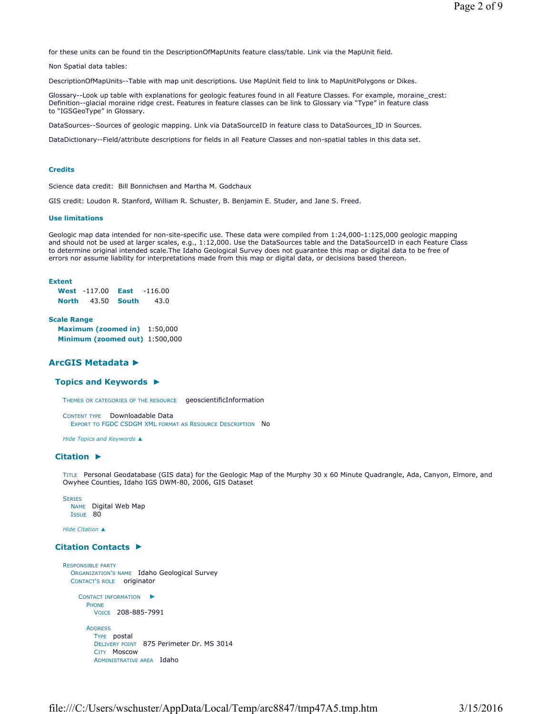for these units can be found tin the DescriptionOfMapUnits feature class/table. Link via the MapUnit field.

Non Spatial data tables:

DescriptionOfMapUnits--Table with map unit descriptions. Use MapUnit field to link to MapUnitPolygons or Dikes.

Glossary--Look up table with explanations for geologic features found in all Feature Classes. For example, moraine\_crest: Definition--glacial moraine ridge crest. Features in feature classes can be link to Glossary via "Type" in feature class to "IGSGeoType" in Glossary.

DataSources--Sources of geologic mapping. Link via DataSourceID in feature class to DataSources\_ID in Sources.

DataDictionary--Field/attribute descriptions for fields in all Feature Classes and non-spatial tables in this data set.

### **Credits**

Science data credit: Bill Bonnichsen and Martha M. Godchaux

GIS credit: Loudon R. Stanford, William R. Schuster, B. Benjamin E. Studer, and Jane S. Freed.

#### **Use limitations**

Geologic map data intended for non-site-specific use. These data were compiled from 1:24,000-1:125,000 geologic mapping and should not be used at larger scales, e.g., 1:12,000. Use the DataSources table and the DataSourceID in each Feature Class to determine original intended scale.The Idaho Geological Survey does not guarantee this map or digital data to be free of errors nor assume liability for interpretations made from this map or digital data, or decisions based thereon.

#### **Extent**

|       | <b>West</b> -117.00 | East               | $-116.00$ |
|-------|---------------------|--------------------|-----------|
| North |                     | 43.50 <b>South</b> | 43.0      |

#### **Scale Range**

**Maximum (zoomed in)** 1:50,000 **Minimum (zoomed out)** 1:500,000

# **ArcGIS Metadata ►**

### **Topics and Keywords ►**

THEMES OR CATEGORIES OF THE RESOURCE geoscientificInformation

```
CONTENT TYPE Downloadable Data 
  EXPORT TO FGDC CSDGM XML FORMAT AS RESOURCE DESCRIPTION No
```
*Hide Topics and Keywords ▲*

# **Citation ►**

TITLE Personal Geodatabase (GIS data) for the Geologic Map of the Murphy 30 x 60 Minute Quadrangle, Ada, Canyon, Elmore, and Owyhee Counties, Idaho IGS DWM-80, 2006, GIS Dataset

```
SERIES
  NAME Digital Web Map 
 ISSUE 80
```
*Hide Citation ▲*

# **Citation Contacts ►**

```
RESPONSIBLE PARTY
  ORGANIZATION'S NAME Idaho Geological Survey 
  CONTACT'S ROLE originator
     CONTACT INFORMATION
►
      PHONE
        VOICE 208-885-7991
      ADDRESS
         TYPE postal 
         DELIVERY POINT 875 Perimeter Dr. MS 3014 
         CITY Moscow 
         ADMINISTRATIVE AREA Idaho
```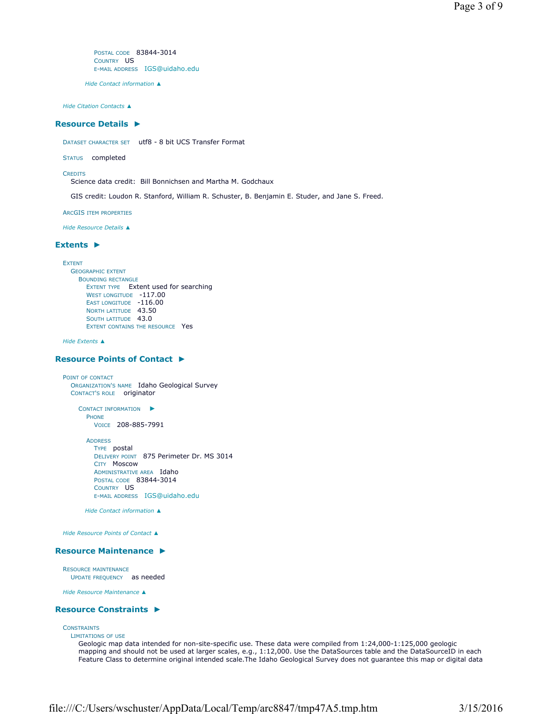POSTAL CODE 83844-3014 COUNTRY US E-MAIL ADDRESS IGS@uidaho.edu

*Hide Contact information ▲*

*Hide Citation Contacts ▲*

### **Resource Details ►**

DATASET CHARACTER SET utf8 - 8 bit UCS Transfer Format

STATUS completed

**CREDITS** 

Science data credit: Bill Bonnichsen and Martha M. Godchaux

GIS credit: Loudon R. Stanford, William R. Schuster, B. Benjamin E. Studer, and Jane S. Freed.

ARCGIS ITEM PROPERTIES

*Hide Resource Details ▲*

### **Extents ►**

**EXTENT** GEOGRAPHIC EXTENT BOUNDING RECTANGLE EXTENT TYPE Extent used for searching WEST LONGITUDE -117.00 EAST LONGITUDE -116.00 NORTH LATITUDE 43.50 SOUTH LATITUDE 43.0 EXTENT CONTAINS THE RESOURCE Yes

*Hide Extents ▲*

### **Resource Points of Contact ►**

POINT OF CONTACT ORGANIZATION'S NAME Idaho Geological Survey CONTACT'S ROLE originator

> CONTACT INFORMATION ► PHONE VOICE 208-885-7991

ADDRESS TYPE postal DELIVERY POINT 875 Perimeter Dr. MS 3014 CITY Moscow ADMINISTRATIVE AREA Idaho POSTAL CODE 83844-3014 COUNTRY US E-MAIL ADDRESS IGS@uidaho.edu

*Hide Contact information ▲*

*Hide Resource Points of Contact ▲*

### **Resource Maintenance ►**

RESOURCE MAINTENANCE UPDATE FREQUENCY as needed

*Hide Resource Maintenance ▲*

### **Resource Constraints ►**

LIMITATIONS OF USE

# **CONSTRAINTS**

Geologic map data intended for non-site-specific use. These data were compiled from 1:24,000-1:125,000 geologic mapping and should not be used at larger scales, e.g., 1:12,000. Use the DataSources table and the DataSourceID in each Feature Class to determine original intended scale.The Idaho Geological Survey does not guarantee this map or digital data

file:///C:/Users/wschuster/AppData/Local/Temp/arc8847/tmp47A5.tmp.htm 3/15/2016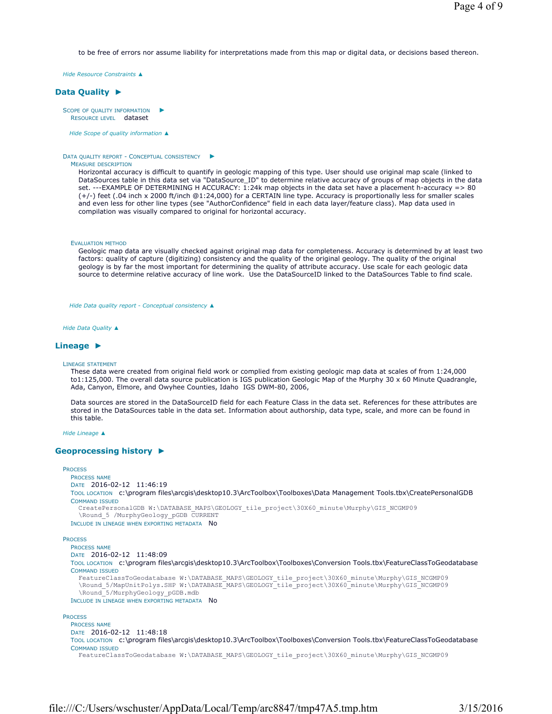to be free of errors nor assume liability for interpretations made from this map or digital data, or decisions based thereon.

*Hide Resource Constraints ▲*

# **Data Quality ►**

SCOPE OF QUALITY INFORMATION RESOURCE LEVEL dataset ►

*Hide Scope of quality information ▲*

#### DATA QUALITY REPORT - CONCEPTUAL CONSISTENCY ►

### MEASURE DESCRIPTION

Horizontal accuracy is difficult to quantify in geologic mapping of this type. User should use original map scale (linked to DataSources table in this data set via "DataSource\_ID" to determine relative accuracy of groups of map objects in the data set. ---EXAMPLE OF DETERMINING H ACCURACY: 1:24k map objects in the data set have a placement h-accuracy => 80 (+/-) feet (.04 inch x 2000 ft/inch @1:24,000) for a CERTAIN line type. Accuracy is proportionally less for smaller scales and even less for other line types (see "AuthorConfidence" field in each data layer/feature class). Map data used in compilation was visually compared to original for horizontal accuracy.

EVALUATION METHOD

Geologic map data are visually checked against original map data for completeness. Accuracy is determined by at least two factors: quality of capture (digitizing) consistency and the quality of the original geology. The quality of the original geology is by far the most important for determining the quality of attribute accuracy. Use scale for each geologic data source to determine relative accuracy of line work. Use the DataSourceID linked to the DataSources Table to find scale.

*Hide Data quality report - Conceptual consistency ▲*

*Hide Data Quality ▲*

### **Lineage ►**

LINEAGE STATEMENT

These data were created from original field work or complied from existing geologic map data at scales of from 1:24,000 to1:125,000. The overall data source publication is IGS publication Geologic Map of the Murphy 30 x 60 Minute Quadrangle, Ada, Canyon, Elmore, and Owyhee Counties, Idaho IGS DWM-80, 2006,

Data sources are stored in the DataSourceID field for each Feature Class in the data set. References for these attributes are stored in the DataSources table in the data set. Information about authorship, data type, scale, and more can be found in this table.

*Hide Lineage ▲*

### **Geoprocessing history ►**

```
PROCESS
  PROCESS NAME
  DATE 2016-02-12 11:46:19 
  TOOL LOCATION c:\program files\arcgis\desktop10.3\ArcToolbox\Toolboxes\Data Management Tools.tbx\CreatePersonalGDB 
  COMMAND ISSUED
    CreatePersonalGDB_W:\DATABASE_MAPS\GEOLOGY_tile_project\30X60_minute\Murphy\GIS_NCGMP09
    \Round_5 /MurphyGeology_pGDB CURRENT
  INCLUDE IN LINEAGE WHEN EXPORTING METADATA No
PROCESS
  PROCESS NAME
  DATE 2016-02-12 11:48:09 
  TOOL LOCATION c:\program files\arcgis\desktop10.3\ArcToolbox\Toolboxes\Conversion Tools.tbx\FeatureClassToGeodatabase 
  COMMAND ISSUED
    FeatureClassToGeodatabase W:\DATABASE_MAPS\GEOLOGY_tile_project\30X60_minute\Murphy\GIS_NCGMP09
    \Round_5/MapUnitPolys.SHP W:\DATABASE_MAPS\GEOLOGY_tile_project\30X60_minute\Murphy\GIS_NCGMP09
    \Round_5/MurphyGeology_pGDB.mdb
  INCLUDE IN LINEAGE WHEN EXPORTING METADATA NO
PROCESS
```
PROCESS NAME DATE 2016-02-12 11:48:18 TOOL LOCATION c:\program files\arcgis\desktop10.3\ArcToolbox\Toolboxes\Conversion Tools.tbx\FeatureClassToGeodatabase COMMAND ISSUED FeatureClassToGeodatabase W:\DATABASE\_MAPS\GEOLOGY\_tile\_project\30X60\_minute\Murphy\GIS\_NCGMP09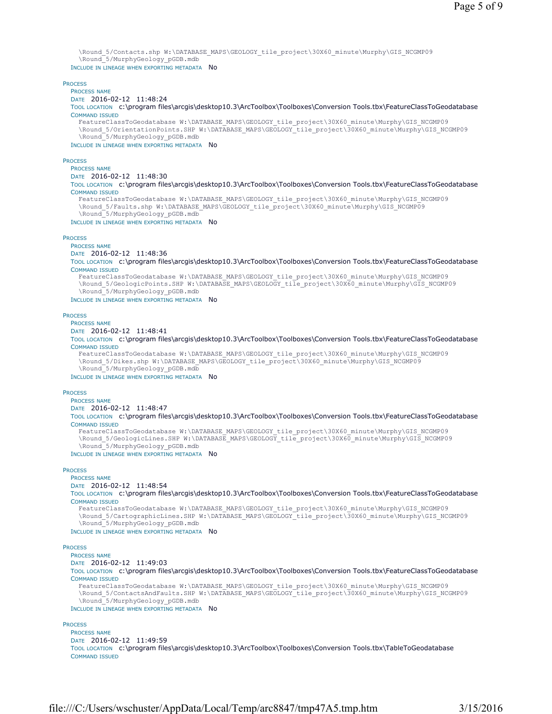```
\Round_5/Contacts.shp W:\DATABASE_MAPS\GEOLOGY_tile_project\30X60_minute\Murphy\GIS_NCGMP09
    \Round_5/MurphyGeology_pGDB.mdb
  INCLUDE IN LINEAGE WHEN EXPORTING METADATA NO
PROCESS
  PROCESS NAME
  DATE 2016-02-12 11:48:24 
  TOOL LOCATION c:\program files\arcgis\desktop10.3\ArcToolbox\Toolboxes\Conversion Tools.tbx\FeatureClassToGeodatabase 
  COMMAND ISSUED
   FeatureClassToGeodatabase W:\DATABASE_MAPS\GEOLOGY_tile_project\30X60_minute\Murphy\GIS_NCGMP09
    \Round_5/OrientationPoints.SHP W:\DATABASE_MAPS\GEOLOGY_tile_project\30X60_minute\Murphy\GIS_NCGMP09
    \Round_5/MurphyGeology_pGDB.mdb
  INCLUDE IN LINEAGE WHEN EXPORTING METADATA NO
PROCESS
  PROCESS NAME
  DATE 2016-02-12 11:48:30 
  TOOL LOCATION c:\program files\arcgis\desktop10.3\ArcToolbox\Toolboxes\Conversion Tools.tbx\FeatureClassToGeodatabase 
  COMMAND ISSUED
    FeatureClassToGeodatabase W:\DATABASE_MAPS\GEOLOGY_tile_project\30X60_minute\Murphy\GIS_NCGMP09
    \Round_5/Faults.shp W:\DATABASE_MAPS\GEOLOGY_tile_project\30X60_minute\Murphy\GIS_NCGMP09
    \Round_5/MurphyGeology_pGDB.mdb
  INCLUDE IN LINEAGE WHEN EXPORTING METADATA NO
PROCESS
  PROCESS NAME
  DATE 2016-02-12 11:48:36 
  TOOL LOCATION c:\program files\arcgis\desktop10.3\ArcToolbox\Toolboxes\Conversion Tools.tbx\FeatureClassToGeodatabase 
  COMMAND ISSUED
    FeatureClassToGeodatabase W:\DATABASE_MAPS\GEOLOGY_tile_project\30X60_minute\Murphy\GIS_NCGMP09
    \Round_5/GeologicPoints.SHP W:\DATABASE_MAPS\GEOLOGY_tile_project\30X60_minute\Murphy\GIS_NCGMP09
    \Round_5/MurphyGeology_pGDB.mdb
  INCLUDE IN LINEAGE WHEN EXPORTING METADATA NO
PROCESS
  PROCESS NAME
  DATE 2016-02-12 11:48:41 
  TOOL LOCATION c:\program files\arcgis\desktop10.3\ArcToolbox\Toolboxes\Conversion Tools.tbx\FeatureClassToGeodatabase 
  COMMAND ISSUED
    FeatureClassToGeodatabase W:\DATABASE_MAPS\GEOLOGY_tile_project\30X60_minute\Murphy\GIS_NCGMP09
    \Round_5/Dikes.shp W:\DATABASE_MAPS\GEOLOGY_tile_project\30X60_minute\Murphy\GIS_NCGMP09
    \Round_5/MurphyGeology_pGDB.mdb
  INCLUDE IN LINEAGE WHEN EXPORTING METADATA NO
PROCESS
  PROCESS NAME
  DATE 2016-02-12 11:48:47 
  TOOL LOCATION c:\program files\arcgis\desktop10.3\ArcToolbox\Toolboxes\Conversion Tools.tbx\FeatureClassToGeodatabase 
  COMMAND ISSUED
    FeatureClassToGeodatabase W:\DATABASE_MAPS\GEOLOGY_tile_project\30X60_minute\Murphy\GIS_NCGMP09
    \Round_5/GeologicLines.SHP W:\DATABASE_MAPS\GEOLOGY_tile_project\30X60_minute\Murphy\GIS_NCGMP09
    \Round_5/MurphyGeology_pGDB.mdb
  INCLUDE IN LINEAGE WHEN EXPORTING METADATA NO
PROCESS
  PROCESS NAME
  DATE 2016-02-12 11:48:54 
  TOOL LOCATION c:\program files\arcgis\desktop10.3\ArcToolbox\Toolboxes\Conversion Tools.tbx\FeatureClassToGeodatabase 
  COMMAND ISSUED
    FeatureClassToGeodatabase W:\DATABASE_MAPS\GEOLOGY_tile_project\30X60_minute\Murphy\GIS_NCGMP09
    \Round 5/CartographicLines.SHP W:\DATABASE_MAPS\GEOLOGY_tile_project\30X60_minute\Murphy\GIS_NCGMP09
    \Round_5/MurphyGeology_pGDB.mdb
  INCLUDE IN LINEAGE WHEN EXPORTING METADATA No
PROCESS
  PROCESS NAME
  DATE 2016-02-12 11:49:03 
  TOOL LOCATION c:\program files\arcgis\desktop10.3\ArcToolbox\Toolboxes\Conversion Tools.tbx\FeatureClassToGeodatabase 
  COMMAND ISSUED
    FeatureClassToGeodatabase W:\DATABASE_MAPS\GEOLOGY_tile_project\30X60_minute\Murphy\GIS_NCGMP09
    \Round_5/ContactsAndFaults.SHP W:\DATABASE_MAPS\GEOLOGY_tile_project\30X60_minute\Murphy\GIS_NCGMP09
    \Round_5/MurphyGeology_pGDB.mdb
  INCLUDE IN LINEAGE WHEN EXPORTING METADATA NO
PROCESS
  PROCESS NAME
  DATE 2016-02-12 11:49:59 
  TOOL LOCATION c:\program files\arcgis\desktop10.3\ArcToolbox\Toolboxes\Conversion Tools.tbx\TableToGeodatabase 
  COMMAND ISSUED
```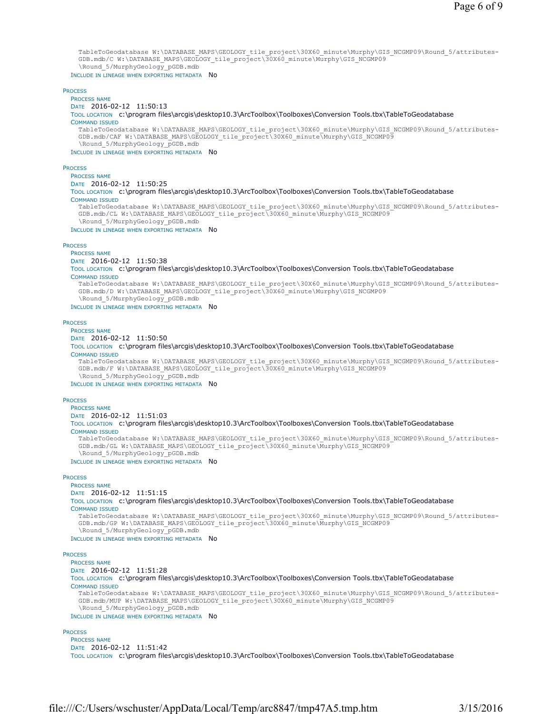```
TableToGeodatabase W:\DATABASE_MAPS\GEOLOGY_tile_project\30X60_minute\Murphy\GIS_NCGMP09\Round_5/attributes-
    GDB.mdb/C W:\DATABASE_MAPS\GEOLOGY_tile_project\30X60_minute\Murphy\GIS_NCGMP09
    \Round 5/MurphyGeology pGDB.mdb
  INCLUDE IN LINEAGE WHEN EXPORTING METADATA NO
PROCESS
  PROCESS NAME
  DATE 2016-02-12 11:50:13 
  TOOL LOCATION c:\program files\arcgis\desktop10.3\ArcToolbox\Toolboxes\Conversion Tools.tbx\TableToGeodatabase 
  COMMAND ISSUED
    TableToGeodatabase W:\DATABASE_MAPS\GEOLOGY_tile_project\30X60_minute\Murphy\GIS_NCGMP09\Round_5/attributes-
    GDB.mdb/CAF W:\DATABASE_MAPS\GEOLOGY_tile_project\30X60_minute\Murphy\GIS_NCGMP09
    \Round_5/MurphyGeology_pGDB.mdb
  INCLUDE IN LINEAGE WHEN EXPORTING METADATA NO
PROCESS
  PROCESS NAME
  DATE 2016-02-12 11:50:25 
  TOOL LOCATION c:\program files\arcgis\desktop10.3\ArcToolbox\Toolboxes\Conversion Tools.tbx\TableToGeodatabase 
  COMMAND ISSUED
    TableToGeodatabase W:\DATABASE_MAPS\GEOLOGY_tile_project\30X60_minute\Murphy\GIS_NCGMP09\Round_5/attributes-
    GDB.mdb/CL W:\DATABASE_MAPS\GEOLOGY_tile_project\30X60_minute\Murphy\GIS_NCGMP09
    \Round_5/MurphyGeology_pGDB.mdb
 INCLUDE IN LINEAGE WHEN EXPORTING METADATA NO
PROCESS
  PROCESS NAME
  DATE 2016-02-12 11:50:38 
  TOOL LOCATION c:\program files\arcgis\desktop10.3\ArcToolbox\Toolboxes\Conversion Tools.tbx\TableToGeodatabase 
  COMMAND ISSUED
    TableToGeodatabase W:\DATABASE_MAPS\GEOLOGY_tile_project\30X60_minute\Murphy\GIS_NCGMP09\Round_5/attributes-
    GDB.mdb/D W:\DATABASE_MAPS\GEOLOGY_tile_project\30X60_minute\Murphy\GIS_NCGMP09
    \Round_5/MurphyGeology_pGDB.mdb
  INCLUDE IN LINEAGE WHEN EXPORTING METADATA NO
PROCESS
  PROCESS NAME
  DATE 2016-02-12 11:50:50 
  TOOL LOCATION c:\program files\arcgis\desktop10.3\ArcToolbox\Toolboxes\Conversion Tools.tbx\TableToGeodatabase 
  COMMAND ISSUED
    TableToGeodatabase W:\DATABASE_MAPS\GEOLOGY_tile_project\30X60_minute\Murphy\GIS_NCGMP09\Round_5/attributes-
    GDB.mdb/F W:\DATABASE_MAPS\GEOLOGY_tile_project\30X60_minute\Murphy\GIS_NCGMP09
    \Round_5/MurphyGeology_pGDB.mdb
  INCLUDE IN LINEAGE WHEN EXPORTING METADATA NO
PROCESS
  PROCESS NAME
  DATE 2016-02-12 11:51:03 
  TOOL LOCATION c:\program files\arcgis\desktop10.3\ArcToolbox\Toolboxes\Conversion Tools.tbx\TableToGeodatabase 
  COMMAND ISSUED
    TableToGeodatabase W:\DATABASE_MAPS\GEOLOGY_tile_project\30X60_minute\Murphy\GIS_NCGMP09\Round_5/attributes-
    GDB.mdb/GL W:\DATABASE_MAPS\GEOLOGY_tile_project\30X60_minute\Murphy\GIS_NCGMP09
    \Round_5/MurphyGeology_pGDB.mdb
  INCLUDE IN LINEAGE WHEN EXPORTING METADATA NO
PROCESS
  PROCESS NAME
  DATE 2016-02-12 11:51:15 
  TOOL LOCATION c:\program files\arcgis\desktop10.3\ArcToolbox\Toolboxes\Conversion Tools.tbx\TableToGeodatabase 
  COMMAND ISSUED
    TableToGeodatabase W:\DATABASE_MAPS\GEOLOGY_tile_project\30X60_minute\Murphy\GIS_NCGMP09\Round_5/attributes-
    GDB.mdb/GP W:\DATABASE_MAPS\GEOLOGY_tile_project\30X60_minute\Murphy\GIS_NCGMP09
    \Round_5/MurphyGeology_pGDB.mdb
  INCLUDE IN LINEAGE WHEN EXPORTING METADATA NO
PROCESS
  PROCESS NAME
  DATE 2016-02-12 11:51:28 
  TOOL LOCATION c:\program files\arcgis\desktop10.3\ArcToolbox\Toolboxes\Conversion Tools.tbx\TableToGeodatabase 
  COMMAND ISSUED
    TableToGeodatabase W:\DATABASE_MAPS\GEOLOGY_tile_project\30X60_minute\Murphy\GIS_NCGMP09\Round_5/attributes-
    \texttt{GDB.mdb/MUP W:}\texttt{DATABASE\_MAPS}\texttt{GEOLOGY\_tile\_project}\texttt{30X60\_minute}\texttt{Murphy}\texttt{GIS\_NCGMP09}\Round_5/MurphyGeology_pGDB.mdb
  INCLUDE IN LINEAGE WHEN EXPORTING METADATA NO
PROCESS
  PROCESS NAME
  DATE 2016-02-12 11:51:42
```
TOOL LOCATION c:\program files\arcgis\desktop10.3\ArcToolbox\Toolboxes\Conversion Tools.tbx\TableToGeodatabase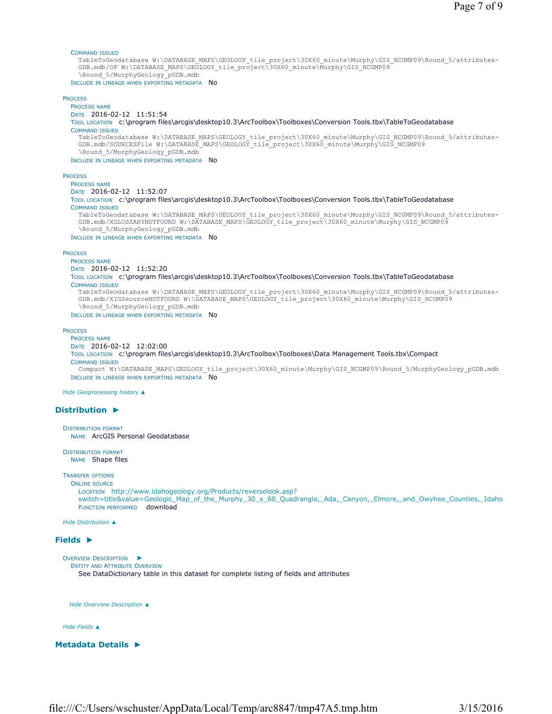#### COMMAND ISSUED

TableToGeodatabase W:\DATABASE\_MAPS\GEOLOGY\_tile\_project\30X60\_minute\Murphy\GIS\_NCGMP09\Round\_5/attributes-GDB.mdb/OP W:\DATABASE\_MAPS\GEOLOGY\_tile\_project\30X60\_minute\Murphy\GIS\_NCGMP09 \Round\_5/MurphyGeology\_pGDB.mdb

INCLUDE IN LINEAGE WHEN EXPORTING METADATA NO

#### **PROCESS**

PROCESS NAME DATE 2016-02-12 11:51:54 TOOL LOCATION c:\program files\arcgis\desktop10.3\ArcToolbox\Toolboxes\Conversion Tools.tbx\TableToGeodatabase COMMAND ISSUED TableToGeodatabase W:\DATABASE\_MAPS\GEOLOGY\_tile\_project\30X60\_minute\Murphy\GIS\_NCGMP09\Round\_5/attributes-GDB.mdb/SOURCESFile W:\DATABASE\_MAPS\GEOLOGY\_tile\_project\30X60\_minute\Murphy\GIS\_NCGMP09 \Round\_5/MurphyGeology\_pGDB.mdb INCLUDE IN LINEAGE WHEN EXPORTING METADATA NO PROCESS

# PROCESS NAME

DATE 2016-02-12 11:52:07

TOOL LOCATION c:\program files\arcgis\desktop10.3\ArcToolbox\Toolboxes\Conversion Tools.tbx\TableToGeodatabase COMMAND ISSUED

TableToGeodatabase W:\DATABASE\_MAPS\GEOLOGY\_tile\_project\30X60\_minute\Murphy\GIS\_NCGMP09\Round\_5/attributes-GDB.mdb/XGLOSSARYNOTFOUND W:\DATABASE\_MAPS\GEOLOGY\_tile\_project\30X60\_minute\Murphy\GIS\_NCGMP09 \Round\_5/MurphyGeology\_pGDB.mdb

INCLUDE IN LINEAGE WHEN EXPORTING METADATA NO

#### **PROCESS**

PROCESS NAME DATE 2016-02-12 11:52:20

TOOL LOCATION c:\program files\arcgis\desktop10.3\ArcToolbox\Toolboxes\Conversion Tools.tbx\TableToGeodatabase COMMAND ISSUED TableToGeodatabase W:\DATABASE\_MAPS\GEOLOGY\_tile\_project\30X60\_minute\Murphy\GIS\_NCGMP09\Round\_5/attributes-

GDB.mdb/XIGSsourceNOTFOUND W:\DATABASE\_MAPS\GEOLOGY\_tile\_project\30X60\_minute\Murphy\GIS\_NCGMP09 \Round\_5/MurphyGeology\_pGDB.mdb

INCLUDE IN LINEAGE WHEN EXPORTING METADATA NO

#### **PROCESS**

PROCESS NAME DATE 2016-02-12 12:02:00 TOOL LOCATION c:\program files\arcgis\desktop10.3\ArcToolbox\Toolboxes\Data Management Tools.tbx\Compact COMMAND ISSUED Compact W:\DATABASE\_MAPS\GEOLOGY\_tile\_project\30X60\_minute\Murphy\GIS\_NCGMP09\Round\_5/MurphyGeology\_pGDB.mdb INCLUDE IN LINEAGE WHEN EXPORTING METADATA NO

*Hide Geoprocessing history ▲*

### **Distribution ►**

```
DISTRIBUTION FORMAT
  NAME ArcGIS Personal Geodatabase
```
DISTRIBUTION FORMAT NAME Shape files

# TRANSFER OPTIONS

ONLINE SOURCE LOCATION http://www.idahogeology.org/Products/reverselook.asp? switch=title&value=Geologic\_Map\_of\_the\_Murphy\_30\_x\_60\_Quadrangle,\_Ada,\_Canyon,\_Elmore,\_and\_Owyhee\_Counties,\_Idaho FUNCTION PERFORMED download

*Hide Distribution ▲*

### **Fields ►**

```
OVERVIEW DESCRIPTION
►
 ENTITY AND ATTRIBUTE OVERVIEW
    See DataDictionary table in this dataset for complete listing of fields and attributes
```
*Hide Overview Description ▲*

#### *Hide Fields ▲*

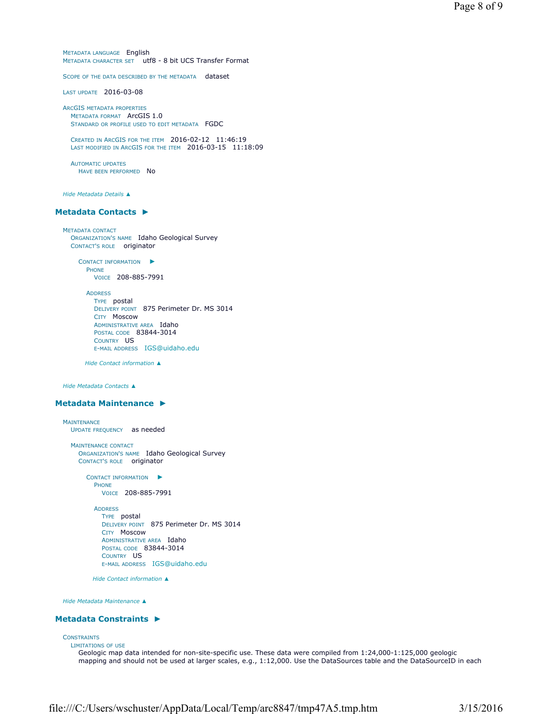METADATA LANGUAGE English METADATA CHARACTER SET utf8 - 8 bit UCS Transfer Format

SCOPE OF THE DATA DESCRIBED BY THE METADATA dataset

LAST UPDATE 2016-03-08

ARCGIS METADATA PROPERTIES METADATA FORMAT ArcGIS 1.0 STANDARD OR PROFILE USED TO EDIT METADATA FGDC

CREATED IN ARCGIS FOR THE ITEM 2016-02-12 11:46:19 LAST MODIFIED IN ARCGIS FOR THE ITEM 2016-03-15 11:18:09

AUTOMATIC UPDATES HAVE BEEN PERFORMED NO

*Hide Metadata Details ▲*

### **Metadata Contacts ►**

METADATA CONTACT ORGANIZATION'S NAME Idaho Geological Survey CONTACT'S ROLE originator

> CONTACT INFORMATION ► PHONE VOICE 208-885-7991

ADDRESS TYPE postal DELIVERY POINT 875 Perimeter Dr. MS 3014 CITY Moscow ADMINISTRATIVE AREA Idaho POSTAL CODE 83844-3014 COUNTRY US E-MAIL ADDRESS IGS@uidaho.edu

*Hide Contact information ▲*

*Hide Metadata Contacts ▲*

### **Metadata Maintenance ►**

```
MAINTENANCE
  UPDATE FREQUENCY as needed
  MAINTENANCE CONTACT
    ORGANIZATION'S NAME Idaho Geological Survey 
    CONTACT'S ROLE originator
       CONTACT INFORMATION
►
         PHONE
           VOICE 208-885-7991
         ADDRESS
           TYPE postal 
           DELIVERY POINT 875 Perimeter Dr. MS 3014 
           CITY Moscow 
           ADMINISTRATIVE AREA Idaho
           POSTAL CODE 83844-3014 
           COUNTRY US 
           E-MAIL ADDRESS IGS@uidaho.edu
```
*Hide Contact information ▲*

*Hide Metadata Maintenance ▲*

### **Metadata Constraints ►**

#### **CONSTRAINTS**

LIMITATIONS OF USE

Geologic map data intended for non-site-specific use. These data were compiled from 1:24,000-1:125,000 geologic mapping and should not be used at larger scales, e.g., 1:12,000. Use the DataSources table and the DataSourceID in each